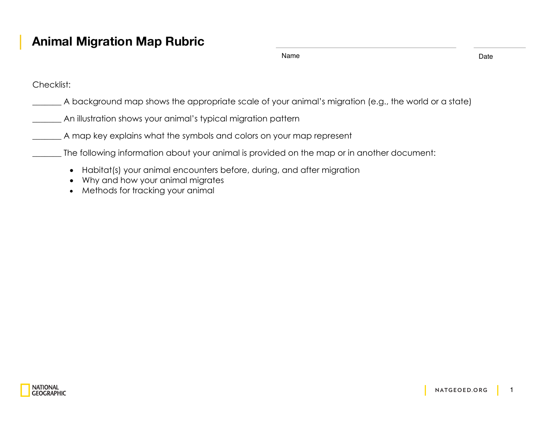## **Animal Migration Map Rubric**

Name Date **Date** 

Checklist:

- \_\_\_\_\_\_\_ A background map shows the appropriate scale of your animal's migration (e.g., the world or a state)
- \_\_\_\_\_\_\_ An illustration shows your animal's typical migration pattern
- \_\_\_\_\_\_\_ A map key explains what the symbols and colors on your map represent
- \_\_\_\_\_\_\_ The following information about your animal is provided on the map or in another document:
	- Habitat(s) your animal encounters before, during, and after migration
	- Why and how your animal migrates
	- Methods for tracking your animal